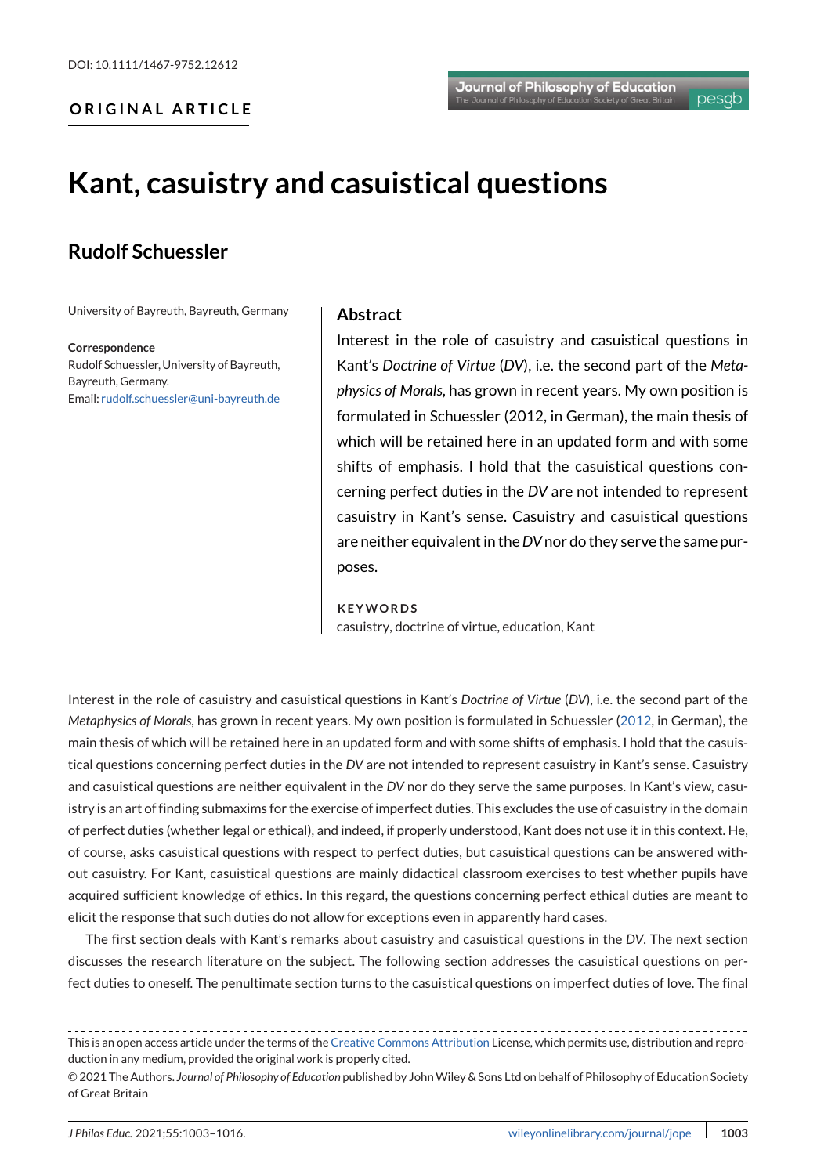# **Kant, casuistry and casuistical questions**

## **Rudolf Schuessler**

University of Bayreuth, Bayreuth, Germany

**Correspondence** Rudolf Schuessler, University of Bayreuth, Bayreuth, Germany. Email: [rudolf.schuessler@uni-bayreuth.de](mailto:rudolf.schuessler@uni-bayreuth.de)

#### **Abstract**

Interest in the role of casuistry and casuistical questions in Kant's *Doctrine of Virtue* (*DV*), i.e. the second part of the *Metaphysics of Morals*, has grown in recent years. My own position is formulated in Schuessler (2012, in German), the main thesis of which will be retained here in an updated form and with some shifts of emphasis. I hold that the casuistical questions concerning perfect duties in the *DV* are not intended to represent casuistry in Kant's sense. Casuistry and casuistical questions are neither equivalent in the*DV*nor do they serve the same purposes.

#### **KEYWORDS**

casuistry, doctrine of virtue, education, Kant

Interest in the role of casuistry and casuistical questions in Kant's *Doctrine of Virtue* (*DV*), i.e. the second part of the *Metaphysics of Morals*, has grown in recent years. My own position is formulated in Schuessler [\(2012,](#page-13-0) in German), the main thesis of which will be retained here in an updated form and with some shifts of emphasis. I hold that the casuistical questions concerning perfect duties in the *DV* are not intended to represent casuistry in Kant's sense. Casuistry and casuistical questions are neither equivalent in the *DV* nor do they serve the same purposes. In Kant's view, casuistry is an art of finding submaxims for the exercise of imperfect duties. This excludes the use of casuistry in the domain of perfect duties (whether legal or ethical), and indeed, if properly understood, Kant does not use it in this context. He, of course, asks casuistical questions with respect to perfect duties, but casuistical questions can be answered without casuistry. For Kant, casuistical questions are mainly didactical classroom exercises to test whether pupils have acquired sufficient knowledge of ethics. In this regard, the questions concerning perfect ethical duties are meant to elicit the response that such duties do not allow for exceptions even in apparently hard cases.

The first section deals with Kant's remarks about casuistry and casuistical questions in the *DV*. The next section discusses the research literature on the subject. The following section addresses the casuistical questions on perfect duties to oneself. The penultimate section turns to the casuistical questions on imperfect duties of love. The final

This is an open access article under the terms of the [Creative Commons Attribution](http://creativecommons.org/licenses/by/4.0/) License, which permits use, distribution and reproduction in any medium, provided the original work is properly cited.

<sup>© 2021</sup> The Authors. *Journal of Philosophy of Education* published by JohnWiley & Sons Ltd on behalf of Philosophy of Education Society of Great Britain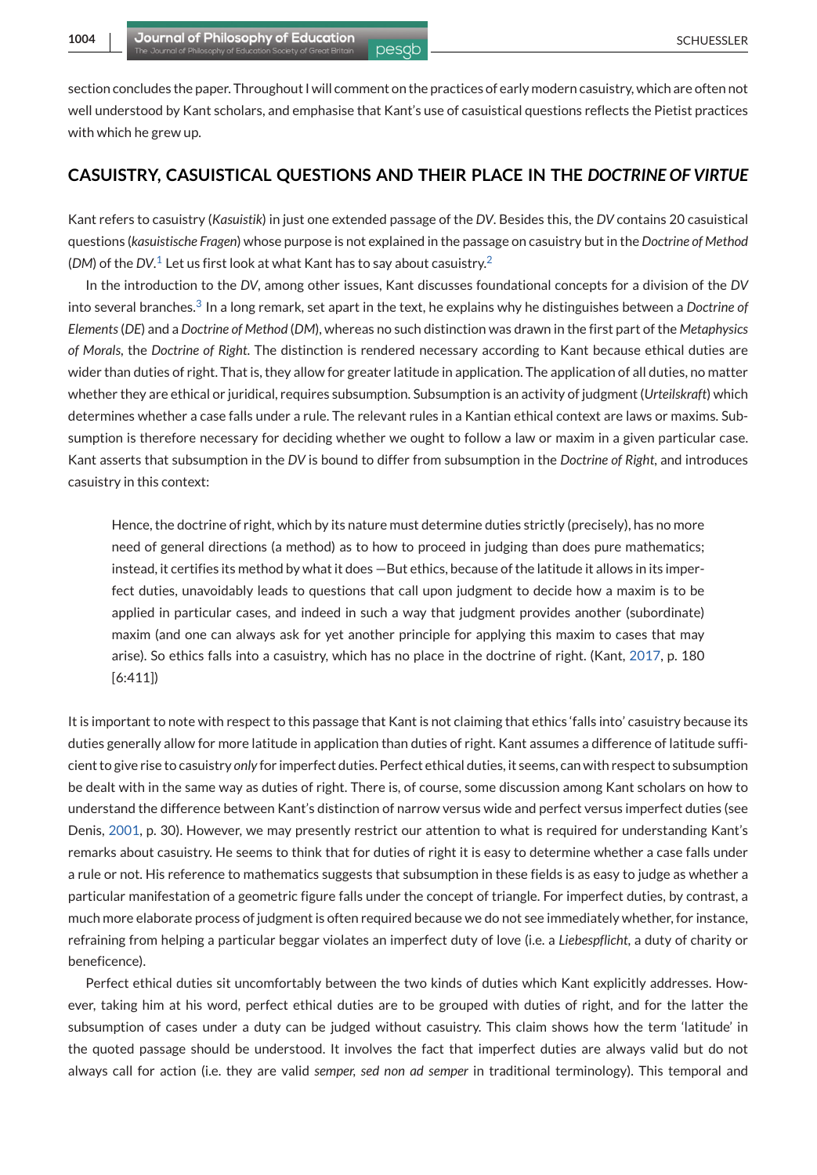section concludes the paper. Throughout I will comment on the practices of early modern casuistry, which are often not well understood by Kant scholars, and emphasise that Kant's use of casuistical questions reflects the Pietist practices with which he grew up.

## **CASUISTRY, CASUISTICAL QUESTIONS AND THEIR PLACE IN THE** *DOCTRINE OF VIRTUE*

Kant refers to casuistry (*Kasuistik*) in just one extended passage of the *DV*. Besides this, the *DV* contains 20 casuistical questions (*kasuistische Fragen*) whose purpose is not explained in the passage on casuistry but in the *Doctrine of Method* (*DM*) of the *DV*[.](#page-11-0) <sup>1</sup> Let us first look at what Kant has to say about casuistry[.](#page-11-0)<sup>2</sup>

In the introduction to the *DV*, among other issues, Kant discusses foundational concepts for a division of the *DV* into several branches[.](#page-12-0)<sup>3</sup> In a long remark, set apart in the text, he explains why he distinguishes between a *Doctrine of Elements*(*DE*) and a *Doctrine of Method* (*DM*), whereas no such distinction was drawn in the first part of the *Metaphysics of Morals*, the *Doctrine of Right*. The distinction is rendered necessary according to Kant because ethical duties are wider than duties of right. That is, they allow for greater latitude in application. The application of all duties, no matter whether they are ethical or juridical, requires subsumption. Subsumption is an activity of judgment (*Urteilskraft*) which determines whether a case falls under a rule. The relevant rules in a Kantian ethical context are laws or maxims. Subsumption is therefore necessary for deciding whether we ought to follow a law or maxim in a given particular case. Kant asserts that subsumption in the *DV* is bound to differ from subsumption in the *Doctrine of Right*, and introduces casuistry in this context:

Hence, the doctrine of right, which by its nature must determine duties strictly (precisely), has no more need of general directions (a method) as to how to proceed in judging than does pure mathematics; instead, it certifies its method by what it does —But ethics, because of the latitude it allows in its imperfect duties, unavoidably leads to questions that call upon judgment to decide how a maxim is to be applied in particular cases, and indeed in such a way that judgment provides another (subordinate) maxim (and one can always ask for yet another principle for applying this maxim to cases that may arise). So ethics falls into a casuistry, which has no place in the doctrine of right. (Kant, [2017,](#page-13-0) p. 180 [6:411])

It is important to note with respect to this passage that Kant is not claiming that ethics 'falls into' casuistry because its duties generally allow for more latitude in application than duties of right. Kant assumes a difference of latitude sufficient to give rise to casuistry *only* for imperfect duties. Perfect ethical duties, it seems, can with respect to subsumption be dealt with in the same way as duties of right. There is, of course, some discussion among Kant scholars on how to understand the difference between Kant's distinction of narrow versus wide and perfect versus imperfect duties (see Denis, [2001,](#page-12-0) p. 30). However, we may presently restrict our attention to what is required for understanding Kant's remarks about casuistry. He seems to think that for duties of right it is easy to determine whether a case falls under a rule or not. His reference to mathematics suggests that subsumption in these fields is as easy to judge as whether a particular manifestation of a geometric figure falls under the concept of triangle. For imperfect duties, by contrast, a much more elaborate process of judgment is often required because we do not see immediately whether, for instance, refraining from helping a particular beggar violates an imperfect duty of love (i.e. a *Liebespflicht*, a duty of charity or beneficence).

Perfect ethical duties sit uncomfortably between the two kinds of duties which Kant explicitly addresses. However, taking him at his word, perfect ethical duties are to be grouped with duties of right, and for the latter the subsumption of cases under a duty can be judged without casuistry. This claim shows how the term 'latitude' in the quoted passage should be understood. It involves the fact that imperfect duties are always valid but do not always call for action (i.e. they are valid *semper, sed non ad semper* in traditional terminology). This temporal and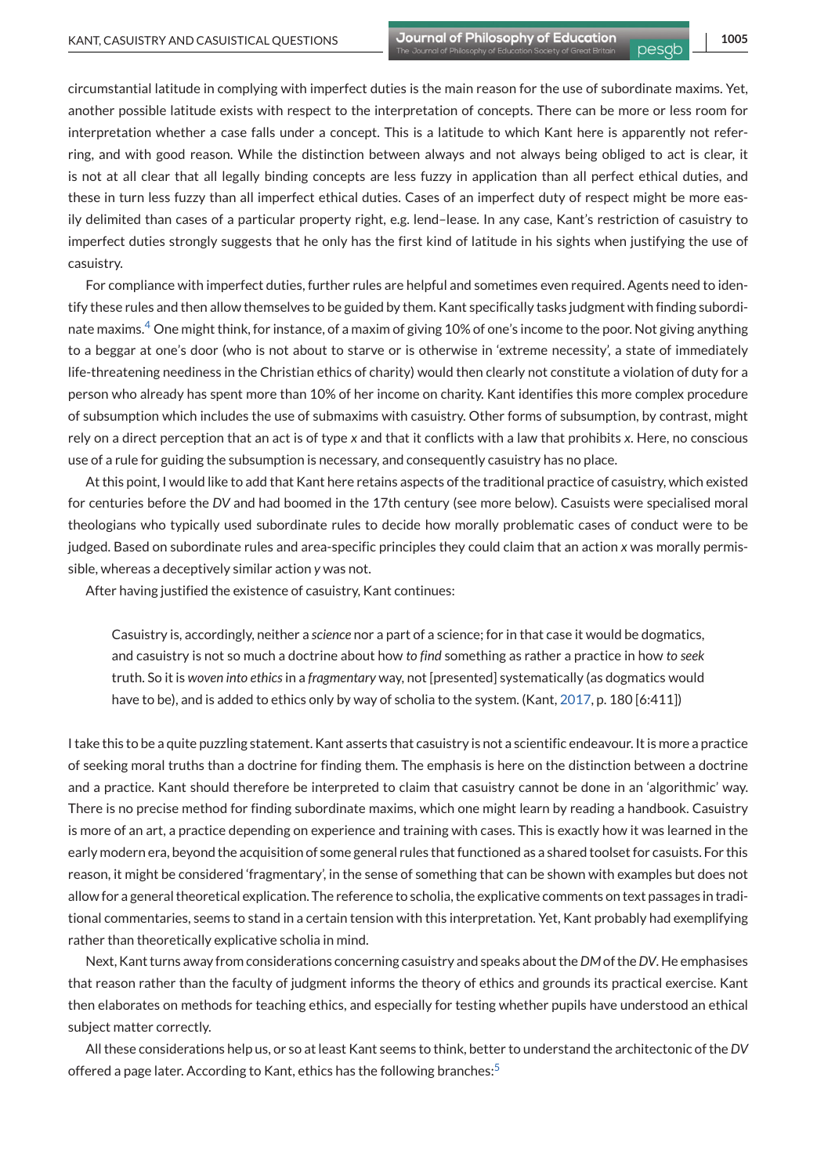circumstantial latitude in complying with imperfect duties is the main reason for the use of subordinate maxims. Yet, another possible latitude exists with respect to the interpretation of concepts. There can be more or less room for interpretation whether a case falls under a concept. This is a latitude to which Kant here is apparently not referring, and with good reason. While the distinction between always and not always being obliged to act is clear, it is not at all clear that all legally binding concepts are less fuzzy in application than all perfect ethical duties, and these in turn less fuzzy than all imperfect ethical duties. Cases of an imperfect duty of respect might be more easily delimited than cases of a particular property right, e.g. lend–lease. In any case, Kant's restriction of casuistry to imperfect duties strongly suggests that he only has the first kind of latitude in his sights when justifying the use of casuistry.

For compliance with imperfect duties, further rules are helpful and sometimes even required. Agents need to identify these rules and then allow themselves to be guided by them. Kant specifically tasks judgment with finding subordi-nate maxims[.](#page-12-0)<sup>4</sup> One might think, for instance, of a maxim of giving 10% of one's income to the poor. Not giving anything to a beggar at one's door (who is not about to starve or is otherwise in 'extreme necessity', a state of immediately life-threatening neediness in the Christian ethics of charity) would then clearly not constitute a violation of duty for a person who already has spent more than 10% of her income on charity. Kant identifies this more complex procedure of subsumption which includes the use of submaxims with casuistry. Other forms of subsumption, by contrast, might rely on a direct perception that an act is of type *x* and that it conflicts with a law that prohibits *x*. Here, no conscious use of a rule for guiding the subsumption is necessary, and consequently casuistry has no place.

At this point, I would like to add that Kant here retains aspects of the traditional practice of casuistry, which existed for centuries before the *DV* and had boomed in the 17th century (see more below). Casuists were specialised moral theologians who typically used subordinate rules to decide how morally problematic cases of conduct were to be judged. Based on subordinate rules and area-specific principles they could claim that an action *x* was morally permissible, whereas a deceptively similar action *y* was not.

After having justified the existence of casuistry, Kant continues:

Casuistry is, accordingly, neither a *science* nor a part of a science; for in that case it would be dogmatics, and casuistry is not so much a doctrine about how *to find* something as rather a practice in how *to seek* truth. So it is *woven into ethics*in a *fragmentary* way, not [presented] systematically (as dogmatics would have to be), and is added to ethics only by way of scholia to the system. (Kant, [2017,](#page-13-0) p. 180 [6:411])

I take this to be a quite puzzling statement. Kant asserts that casuistry is not a scientific endeavour. It is more a practice of seeking moral truths than a doctrine for finding them. The emphasis is here on the distinction between a doctrine and a practice. Kant should therefore be interpreted to claim that casuistry cannot be done in an 'algorithmic' way. There is no precise method for finding subordinate maxims, which one might learn by reading a handbook. Casuistry is more of an art, a practice depending on experience and training with cases. This is exactly how it was learned in the early modern era, beyond the acquisition of some general rules that functioned as a shared toolset for casuists. For this reason, it might be considered 'fragmentary', in the sense of something that can be shown with examples but does not allow for a general theoretical explication. The reference to scholia, the explicative comments on text passages in traditional commentaries, seems to stand in a certain tension with this interpretation. Yet, Kant probably had exemplifying rather than theoretically explicative scholia in mind.

Next, Kant turns away from considerations concerning casuistry and speaks about the*DM* of the*DV*. He emphasises that reason rather than the faculty of judgment informs the theory of ethics and grounds its practical exercise. Kant then elaborates on methods for teaching ethics, and especially for testing whether pupils have understood an ethical subject matter correctly.

All these considerations help us, or so at least Kant seems to think, better to understand the architectonic of the *DV* offered a page later. According to Kant, ethics has the following branches[:](#page-12-0)<sup>5</sup>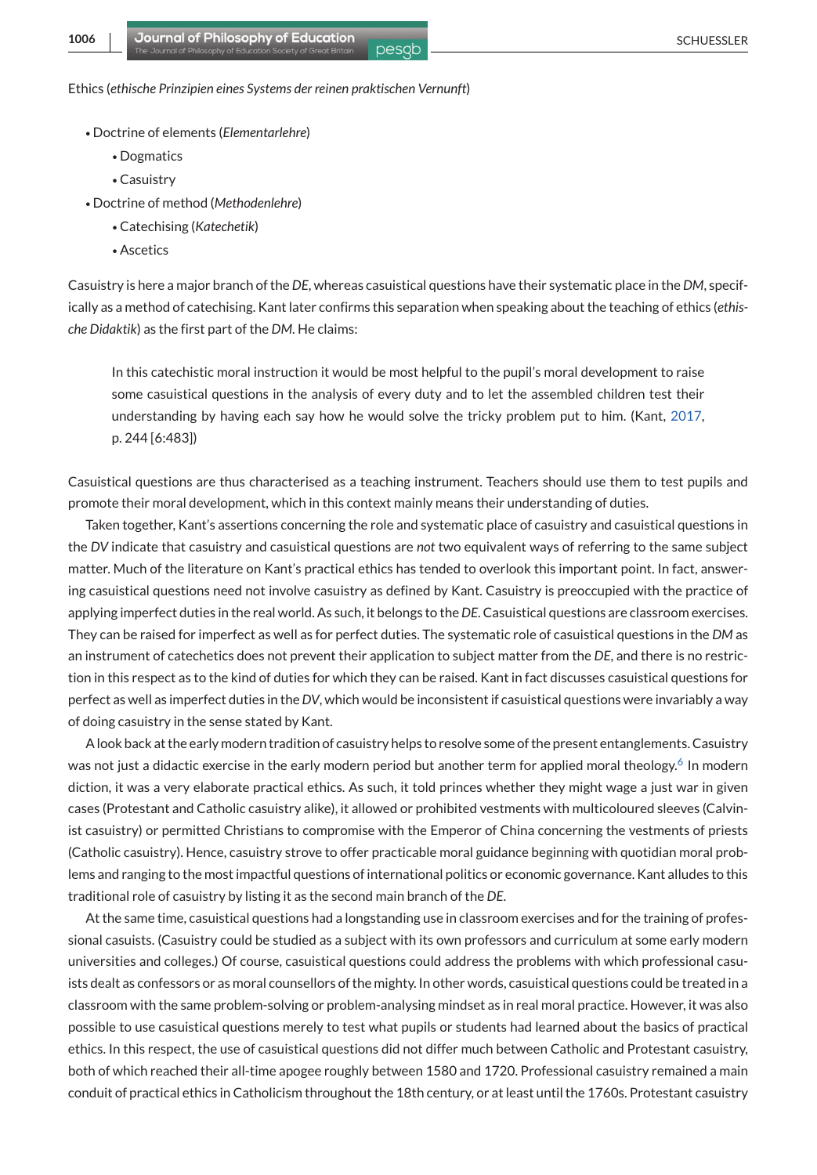Ethics (*ethische Prinzipien eines Systems der reinen praktischen Vernunft*)

- ∙ Doctrine of elements (*Elementarlehre*)
	- ∙ Dogmatics
	- ∙ Casuistry
- ∙ Doctrine of method (*Methodenlehre*)
	- ∙ Catechising (*Katechetik*)
	- ∙ Ascetics

Casuistry is here a major branch of the *DE*, whereas casuistical questions have their systematic place in the *DM*, specifically as a method of catechising. Kant later confirms this separation when speaking about the teaching of ethics (*ethische Didaktik*) as the first part of the *DM*. He claims:

In this catechistic moral instruction it would be most helpful to the pupil's moral development to raise some casuistical questions in the analysis of every duty and to let the assembled children test their understanding by having each say how he would solve the tricky problem put to him. (Kant, [2017,](#page-13-0) p. 244 [6:483])

Casuistical questions are thus characterised as a teaching instrument. Teachers should use them to test pupils and promote their moral development, which in this context mainly means their understanding of duties.

Taken together, Kant's assertions concerning the role and systematic place of casuistry and casuistical questions in the *DV* indicate that casuistry and casuistical questions are *not* two equivalent ways of referring to the same subject matter. Much of the literature on Kant's practical ethics has tended to overlook this important point. In fact, answering casuistical questions need not involve casuistry as defined by Kant. Casuistry is preoccupied with the practice of applying imperfect duties in the real world. As such, it belongs to the*DE*. Casuistical questions are classroom exercises. They can be raised for imperfect as well as for perfect duties. The systematic role of casuistical questions in the *DM* as an instrument of catechetics does not prevent their application to subject matter from the *DE*, and there is no restriction in this respect as to the kind of duties for which they can be raised. Kant in fact discusses casuistical questions for perfect as well as imperfect duties in the*DV*, which would be inconsistent if casuistical questions were invariably a way of doing casuistry in the sense stated by Kant.

A look back at the early modern tradition of casuistry helps to resolve some of the present entanglements. Casuistry was not just a didactic exercise in the early modern period but another term for applied moral theology[.](#page-12-0)<sup>6</sup> In modern diction, it was a very elaborate practical ethics. As such, it told princes whether they might wage a just war in given cases (Protestant and Catholic casuistry alike), it allowed or prohibited vestments with multicoloured sleeves (Calvinist casuistry) or permitted Christians to compromise with the Emperor of China concerning the vestments of priests (Catholic casuistry). Hence, casuistry strove to offer practicable moral guidance beginning with quotidian moral problems and ranging to the most impactful questions of international politics or economic governance. Kant alludes to this traditional role of casuistry by listing it as the second main branch of the *DE*.

At the same time, casuistical questions had a longstanding use in classroom exercises and for the training of professional casuists. (Casuistry could be studied as a subject with its own professors and curriculum at some early modern universities and colleges.) Of course, casuistical questions could address the problems with which professional casuists dealt as confessors or as moral counsellors of the mighty. In other words, casuistical questions could be treated in a classroom with the same problem-solving or problem-analysing mindset as in real moral practice. However, it was also possible to use casuistical questions merely to test what pupils or students had learned about the basics of practical ethics. In this respect, the use of casuistical questions did not differ much between Catholic and Protestant casuistry, both of which reached their all-time apogee roughly between 1580 and 1720. Professional casuistry remained a main conduit of practical ethics in Catholicism throughout the 18th century, or at least until the 1760s. Protestant casuistry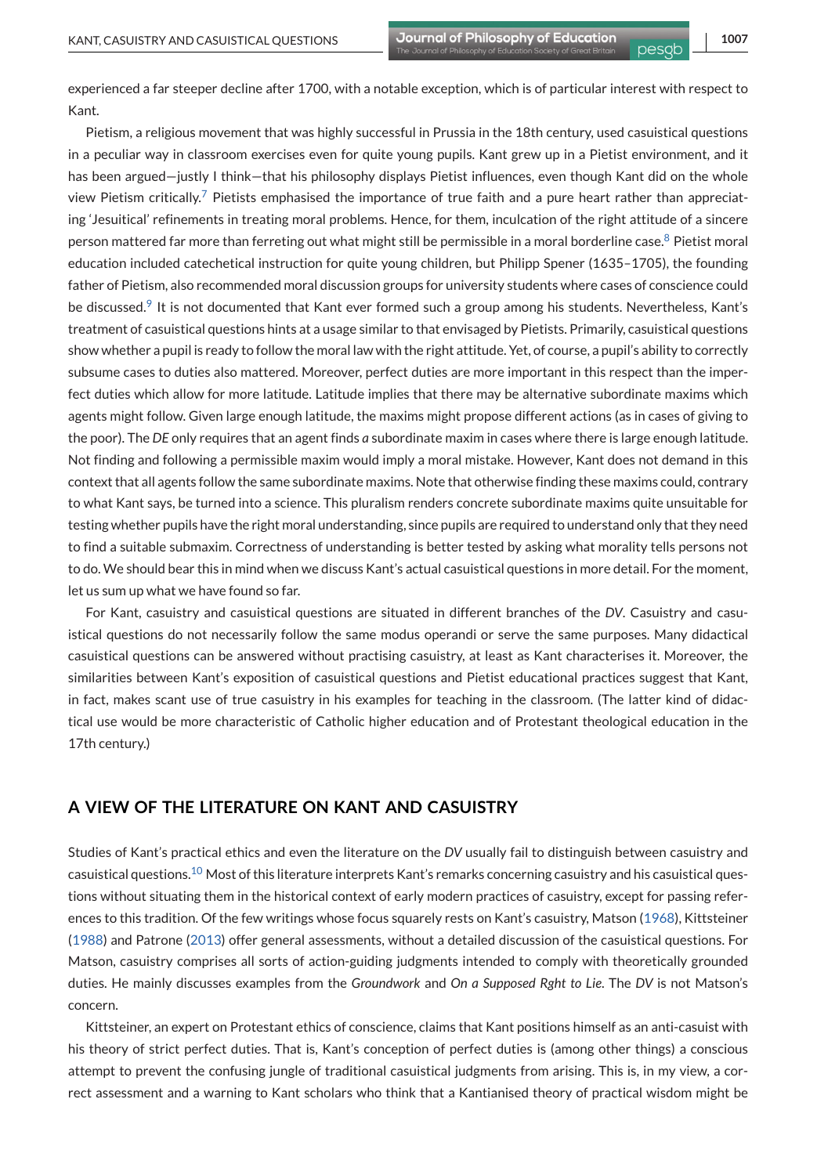experienced a far steeper decline after 1700, with a notable exception, which is of particular interest with respect to Kant.

Pietism, a religious movement that was highly successful in Prussia in the 18th century, used casuistical questions in a peculiar way in classroom exercises even for quite young pupils. Kant grew up in a Pietist environment, and it has been argued—justly I think—that his philosophy displays Pietist influences, even though Kant did on the whole view Pietism criticall[y.](#page-12-0)<sup>7</sup> Pietists emphasised the importance of true faith and a pure heart rather than appreciating 'Jesuitical' refinements in treating moral problems. Hence, for them, inculcation of the right attitude of a sincere person mattered far more than ferreting out what might still be permissible in a moral borderline case[.](#page-12-0)<sup>8</sup> Pietist moral education included catechetical instruction for quite young children, but Philipp Spener (1635–1705), the founding father of Pietism, also recommended moral discussion groups for university students where cases of conscience could be discussed[.](#page-12-0)<sup>9</sup> It is not documented that Kant ever formed such a group among his students. Nevertheless, Kant's treatment of casuistical questions hints at a usage similar to that envisaged by Pietists. Primarily, casuistical questions show whether a pupil is ready to follow the moral law with the right attitude. Yet, of course, a pupil's ability to correctly subsume cases to duties also mattered. Moreover, perfect duties are more important in this respect than the imperfect duties which allow for more latitude. Latitude implies that there may be alternative subordinate maxims which agents might follow. Given large enough latitude, the maxims might propose different actions (as in cases of giving to the poor). The *DE* only requires that an agent finds *a* subordinate maxim in cases where there is large enough latitude. Not finding and following a permissible maxim would imply a moral mistake. However, Kant does not demand in this context that all agents follow the same subordinate maxims. Note that otherwise finding these maxims could, contrary to what Kant says, be turned into a science. This pluralism renders concrete subordinate maxims quite unsuitable for testing whether pupils have the right moral understanding, since pupils are required to understand only that they need to find a suitable submaxim. Correctness of understanding is better tested by asking what morality tells persons not to do. We should bear this in mind when we discuss Kant's actual casuistical questions in more detail. For the moment, let us sum up what we have found so far.

For Kant, casuistry and casuistical questions are situated in different branches of the *DV*. Casuistry and casuistical questions do not necessarily follow the same modus operandi or serve the same purposes. Many didactical casuistical questions can be answered without practising casuistry, at least as Kant characterises it. Moreover, the similarities between Kant's exposition of casuistical questions and Pietist educational practices suggest that Kant, in fact, makes scant use of true casuistry in his examples for teaching in the classroom. (The latter kind of didactical use would be more characteristic of Catholic higher education and of Protestant theological education in the 17th century.)

## **A VIEW OF THE LITERATURE ON KANT AND CASUISTRY**

Studies of Kant's practical ethics and even the literature on the *DV* usually fail to distinguish between casuistry and casuistical questions[.](#page-12-0)<sup>10</sup> Most of this literature interprets Kant's remarks concerning casuistry and his casuistical questions without situating them in the historical context of early modern practices of casuistry, except for passing references to this tradition. Of the few writings whose focus squarely rests on Kant's casuistry, Matson [\(1968\)](#page-13-0), Kittsteiner [\(1988\)](#page-13-0) and Patrone [\(2013\)](#page-13-0) offer general assessments, without a detailed discussion of the casuistical questions. For Matson, casuistry comprises all sorts of action-guiding judgments intended to comply with theoretically grounded duties. He mainly discusses examples from the *Groundwork* and *On a Supposed Rght to Lie*. The *DV* is not Matson's concern.

Kittsteiner, an expert on Protestant ethics of conscience, claims that Kant positions himself as an anti-casuist with his theory of strict perfect duties. That is, Kant's conception of perfect duties is (among other things) a conscious attempt to prevent the confusing jungle of traditional casuistical judgments from arising. This is, in my view, a correct assessment and a warning to Kant scholars who think that a Kantianised theory of practical wisdom might be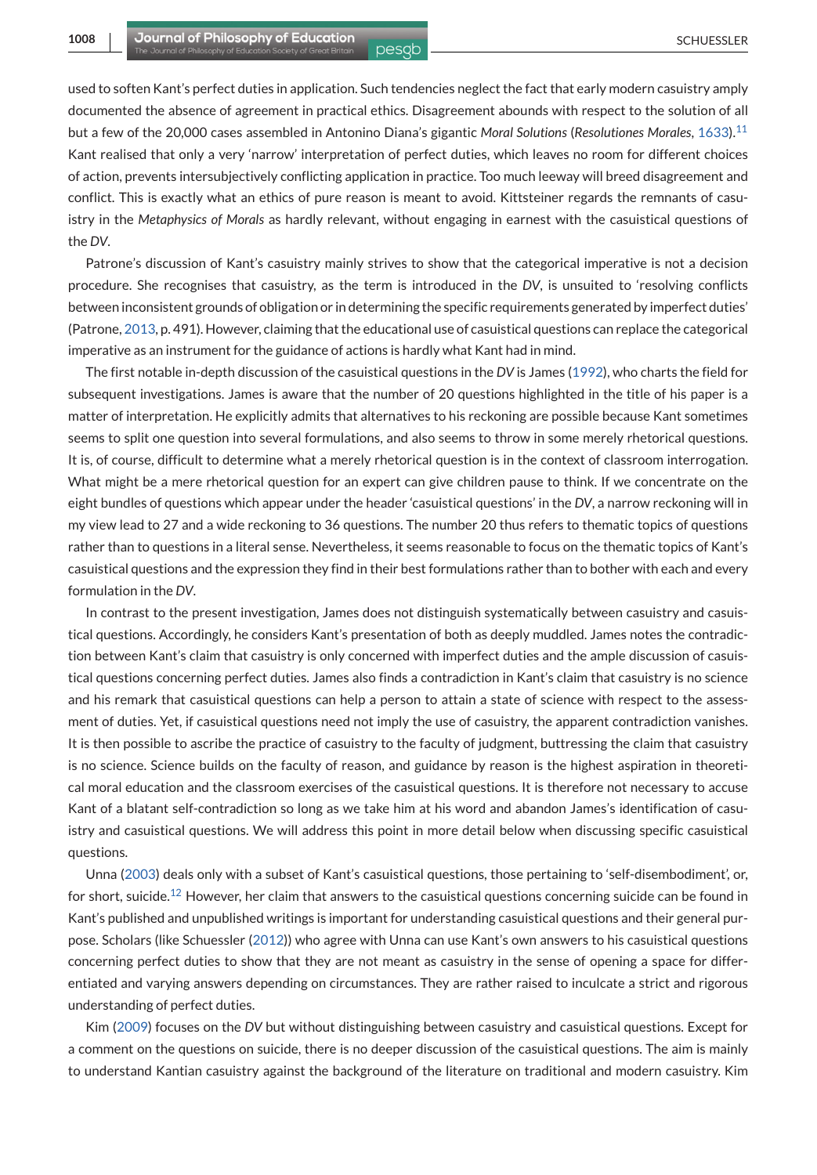used to soften Kant's perfect duties in application. Such tendencies neglect the fact that early modern casuistry amply documented the absence of agreement in practical ethics. Disagreement abounds with respect to the solution of all but a few of the 20,000 cases assembled in Antonino Diana's gigantic *Moral Solutions* (*Resolutiones Morales*, [1633\).](#page-12-0)<sup>11</sup> Kant realised that only a very 'narrow' interpretation of perfect duties, which leaves no room for different choices of action, prevents intersubjectively conflicting application in practice. Too much leeway will breed disagreement and conflict. This is exactly what an ethics of pure reason is meant to avoid. Kittsteiner regards the remnants of casuistry in the *Metaphysics of Morals* as hardly relevant, without engaging in earnest with the casuistical questions of the *DV*.

Patrone's discussion of Kant's casuistry mainly strives to show that the categorical imperative is not a decision procedure. She recognises that casuistry, as the term is introduced in the *DV*, is unsuited to 'resolving conflicts between inconsistent grounds of obligation or in determining the specific requirements generated by imperfect duties' (Patrone, [2013,](#page-13-0) p. 491). However, claiming that the educational use of casuistical questions can replace the categorical imperative as an instrument for the guidance of actions is hardly what Kant had in mind.

The first notable in-depth discussion of the casuistical questions in the *DV* is James [\(1992\)](#page-13-0), who charts the field for subsequent investigations. James is aware that the number of 20 questions highlighted in the title of his paper is a matter of interpretation. He explicitly admits that alternatives to his reckoning are possible because Kant sometimes seems to split one question into several formulations, and also seems to throw in some merely rhetorical questions. It is, of course, difficult to determine what a merely rhetorical question is in the context of classroom interrogation. What might be a mere rhetorical question for an expert can give children pause to think. If we concentrate on the eight bundles of questions which appear under the header 'casuistical questions' in the *DV*, a narrow reckoning will in my view lead to 27 and a wide reckoning to 36 questions. The number 20 thus refers to thematic topics of questions rather than to questions in a literal sense. Nevertheless, it seems reasonable to focus on the thematic topics of Kant's casuistical questions and the expression they find in their best formulations rather than to bother with each and every formulation in the *DV*.

In contrast to the present investigation, James does not distinguish systematically between casuistry and casuistical questions. Accordingly, he considers Kant's presentation of both as deeply muddled. James notes the contradiction between Kant's claim that casuistry is only concerned with imperfect duties and the ample discussion of casuistical questions concerning perfect duties. James also finds a contradiction in Kant's claim that casuistry is no science and his remark that casuistical questions can help a person to attain a state of science with respect to the assessment of duties. Yet, if casuistical questions need not imply the use of casuistry, the apparent contradiction vanishes. It is then possible to ascribe the practice of casuistry to the faculty of judgment, buttressing the claim that casuistry is no science. Science builds on the faculty of reason, and guidance by reason is the highest aspiration in theoretical moral education and the classroom exercises of the casuistical questions. It is therefore not necessary to accuse Kant of a blatant self-contradiction so long as we take him at his word and abandon James's identification of casuistry and casuistical questions. We will address this point in more detail below when discussing specific casuistical questions.

Unna [\(2003\)](#page-13-0) deals only with a subset of Kant's casuistical questions, those pertaining to 'self-disembodiment', or, for short, suicide[.](#page-12-0)<sup>12</sup> However, her claim that answers to the casuistical questions concerning suicide can be found in Kant's published and unpublished writings is important for understanding casuistical questions and their general purpose. Scholars (like Schuessler [\(2012\)](#page-13-0)) who agree with Unna can use Kant's own answers to his casuistical questions concerning perfect duties to show that they are not meant as casuistry in the sense of opening a space for differentiated and varying answers depending on circumstances. They are rather raised to inculcate a strict and rigorous understanding of perfect duties.

Kim [\(2009\)](#page-13-0) focuses on the *DV* but without distinguishing between casuistry and casuistical questions. Except for a comment on the questions on suicide, there is no deeper discussion of the casuistical questions. The aim is mainly to understand Kantian casuistry against the background of the literature on traditional and modern casuistry. Kim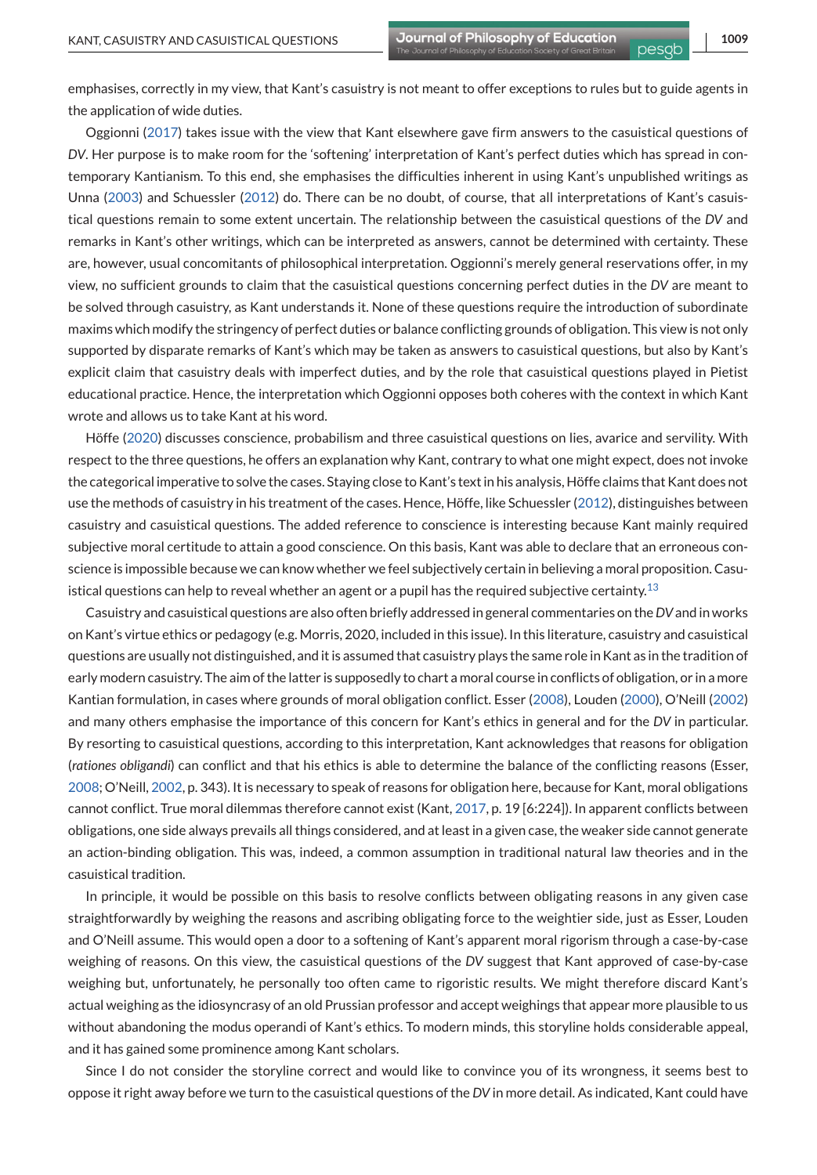emphasises, correctly in my view, that Kant's casuistry is not meant to offer exceptions to rules but to guide agents in the application of wide duties.

Oggionni [\(2017\)](#page-13-0) takes issue with the view that Kant elsewhere gave firm answers to the casuistical questions of *DV*. Her purpose is to make room for the 'softening' interpretation of Kant's perfect duties which has spread in contemporary Kantianism. To this end, she emphasises the difficulties inherent in using Kant's unpublished writings as Unna [\(2003\)](#page-13-0) and Schuessler [\(2012\)](#page-13-0) do. There can be no doubt, of course, that all interpretations of Kant's casuistical questions remain to some extent uncertain. The relationship between the casuistical questions of the *DV* and remarks in Kant's other writings, which can be interpreted as answers, cannot be determined with certainty. These are, however, usual concomitants of philosophical interpretation. Oggionni's merely general reservations offer, in my view, no sufficient grounds to claim that the casuistical questions concerning perfect duties in the *DV* are meant to be solved through casuistry, as Kant understands it. None of these questions require the introduction of subordinate maxims which modify the stringency of perfect duties or balance conflicting grounds of obligation. This view is not only supported by disparate remarks of Kant's which may be taken as answers to casuistical questions, but also by Kant's explicit claim that casuistry deals with imperfect duties, and by the role that casuistical questions played in Pietist educational practice. Hence, the interpretation which Oggionni opposes both coheres with the context in which Kant wrote and allows us to take Kant at his word.

Höffe [\(2020\)](#page-13-0) discusses conscience, probabilism and three casuistical questions on lies, avarice and servility. With respect to the three questions, he offers an explanation why Kant, contrary to what one might expect, does not invoke the categorical imperative to solve the cases. Staying close to Kant's text in his analysis, Höffe claims that Kant does not use the methods of casuistry in his treatment of the cases. Hence, Höffe, like Schuessler [\(2012\)](#page-13-0), distinguishes between casuistry and casuistical questions. The added reference to conscience is interesting because Kant mainly required subjective moral certitude to attain a good conscience. On this basis, Kant was able to declare that an erroneous conscience is impossible because we can know whether we feel subjectively certain in believing a moral proposition. Casu-istical questions can help to reveal whether an agent or a pupil has the required subjective certainty[.](#page-12-0)<sup>13</sup>

Casuistry and casuistical questions are also often briefly addressed in general commentaries on the*DV*and in works on Kant's virtue ethics or pedagogy (e.g. Morris, 2020, included in this issue). In this literature, casuistry and casuistical questions are usually not distinguished, and it is assumed that casuistry plays the same role in Kant as in the tradition of early modern casuistry. The aim of the latter is supposedly to chart a moral course in conflicts of obligation, or in a more Kantian formulation, in cases where grounds of moral obligation conflict. Esser [\(2008\)](#page-13-0), Louden [\(2000\)](#page-13-0), O'Neill [\(2002\)](#page-13-0) and many others emphasise the importance of this concern for Kant's ethics in general and for the *DV* in particular. By resorting to casuistical questions, according to this interpretation, Kant acknowledges that reasons for obligation (*rationes obligandi*) can conflict and that his ethics is able to determine the balance of the conflicting reasons (Esser, [2008;](#page-13-0) O'Neill, [2002,](#page-13-0) p. 343). It is necessary to speak of reasons for obligation here, because for Kant, moral obligations cannot conflict. True moral dilemmas therefore cannot exist (Kant, [2017,](#page-13-0) p. 19 [6:224]). In apparent conflicts between obligations, one side always prevails all things considered, and at least in a given case, the weaker side cannot generate an action-binding obligation. This was, indeed, a common assumption in traditional natural law theories and in the casuistical tradition.

In principle, it would be possible on this basis to resolve conflicts between obligating reasons in any given case straightforwardly by weighing the reasons and ascribing obligating force to the weightier side, just as Esser, Louden and O'Neill assume. This would open a door to a softening of Kant's apparent moral rigorism through a case-by-case weighing of reasons. On this view, the casuistical questions of the *DV* suggest that Kant approved of case-by-case weighing but, unfortunately, he personally too often came to rigoristic results. We might therefore discard Kant's actual weighing as the idiosyncrasy of an old Prussian professor and accept weighings that appear more plausible to us without abandoning the modus operandi of Kant's ethics. To modern minds, this storyline holds considerable appeal, and it has gained some prominence among Kant scholars.

Since I do not consider the storyline correct and would like to convince you of its wrongness, it seems best to oppose it right away before we turn to the casuistical questions of the *DV* in more detail. As indicated, Kant could have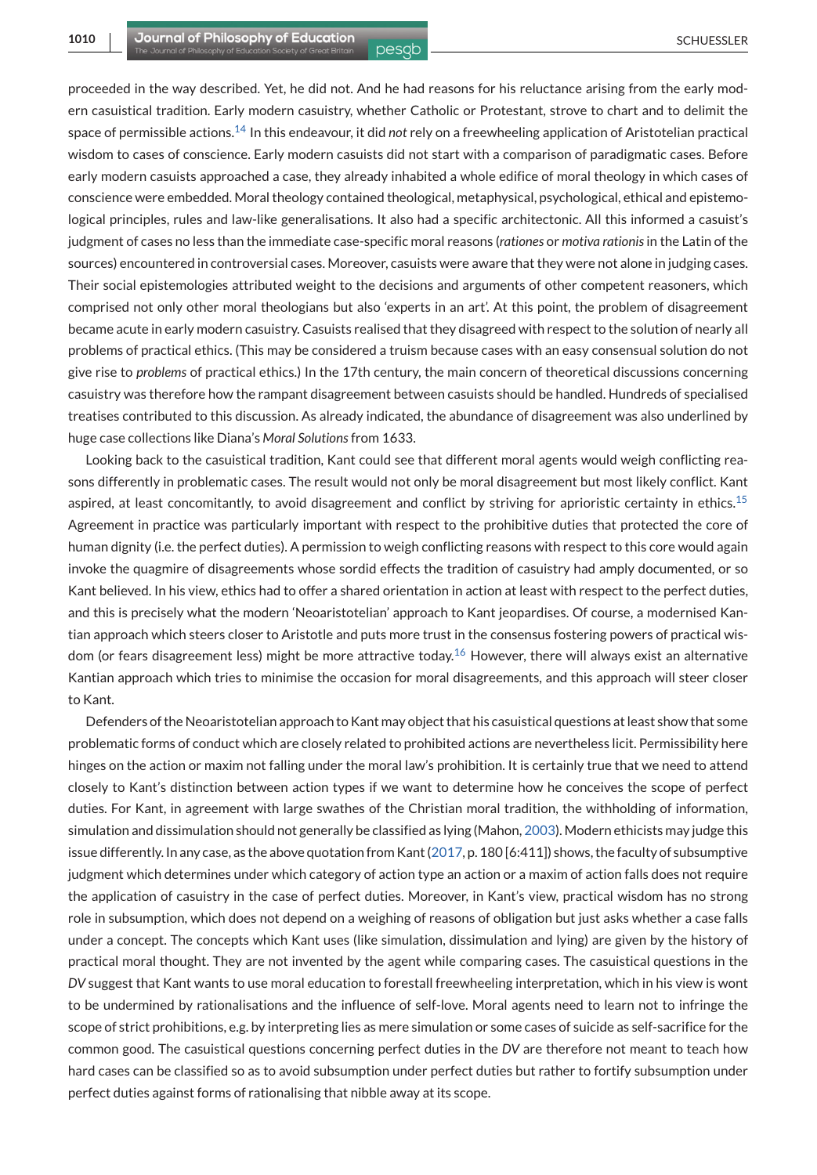proceeded in the way described. Yet, he did not. And he had reasons for his reluctance arising from the early modern casuistical tradition. Early modern casuistry, whether Catholic or Protestant, strove to chart and to delimit the space of permissible actions[.](#page-12-0)<sup>14</sup> In this endeavour, it did *not* rely on a freewheeling application of Aristotelian practical wisdom to cases of conscience. Early modern casuists did not start with a comparison of paradigmatic cases. Before early modern casuists approached a case, they already inhabited a whole edifice of moral theology in which cases of conscience were embedded. Moral theology contained theological, metaphysical, psychological, ethical and epistemological principles, rules and law-like generalisations. It also had a specific architectonic. All this informed a casuist's judgment of cases no less than the immediate case-specific moral reasons (*rationes* or *motiva rationis*in the Latin of the sources) encountered in controversial cases. Moreover, casuists were aware that they were not alone in judging cases. Their social epistemologies attributed weight to the decisions and arguments of other competent reasoners, which comprised not only other moral theologians but also 'experts in an art'. At this point, the problem of disagreement became acute in early modern casuistry. Casuists realised that they disagreed with respect to the solution of nearly all problems of practical ethics. (This may be considered a truism because cases with an easy consensual solution do not give rise to *problems* of practical ethics.) In the 17th century, the main concern of theoretical discussions concerning casuistry was therefore how the rampant disagreement between casuists should be handled. Hundreds of specialised treatises contributed to this discussion. As already indicated, the abundance of disagreement was also underlined by huge case collections like Diana's *Moral Solutions*from 1633.

Looking back to the casuistical tradition, Kant could see that different moral agents would weigh conflicting reasons differently in problematic cases. The result would not only be moral disagreement but most likely conflict. Kant aspired, at least concomitantly, to avoid disagreement and conflict by striving for aprioristic certainty in ethics[.](#page-12-0)<sup>15</sup> Agreement in practice was particularly important with respect to the prohibitive duties that protected the core of human dignity (i.e. the perfect duties). A permission to weigh conflicting reasons with respect to this core would again invoke the quagmire of disagreements whose sordid effects the tradition of casuistry had amply documented, or so Kant believed. In his view, ethics had to offer a shared orientation in action at least with respect to the perfect duties, and this is precisely what the modern 'Neoaristotelian' approach to Kant jeopardises. Of course, a modernised Kantian approach which steers closer to Aristotle and puts more trust in the consensus fostering powers of practical wisdom (or fears disagreement less) might be more attractive toda[y.](#page-12-0)<sup>16</sup> However, there will always exist an alternative Kantian approach which tries to minimise the occasion for moral disagreements, and this approach will steer closer to Kant.

Defenders of the Neoaristotelian approach to Kant may object that his casuistical questions at least show that some problematic forms of conduct which are closely related to prohibited actions are nevertheless licit. Permissibility here hinges on the action or maxim not falling under the moral law's prohibition. It is certainly true that we need to attend closely to Kant's distinction between action types if we want to determine how he conceives the scope of perfect duties. For Kant, in agreement with large swathes of the Christian moral tradition, the withholding of information, simulation and dissimulation should not generally be classified as lying (Mahon, [2003\)](#page-13-0). Modern ethicists may judge this issue differently. In any case, as the above quotation from Kant [\(2017,](#page-13-0) p. 180 [6:411]) shows, the faculty of subsumptive judgment which determines under which category of action type an action or a maxim of action falls does not require the application of casuistry in the case of perfect duties. Moreover, in Kant's view, practical wisdom has no strong role in subsumption, which does not depend on a weighing of reasons of obligation but just asks whether a case falls under a concept. The concepts which Kant uses (like simulation, dissimulation and lying) are given by the history of practical moral thought. They are not invented by the agent while comparing cases. The casuistical questions in the *DV* suggest that Kant wants to use moral education to forestall freewheeling interpretation, which in his view is wont to be undermined by rationalisations and the influence of self-love. Moral agents need to learn not to infringe the scope of strict prohibitions, e.g. by interpreting lies as mere simulation or some cases of suicide as self-sacrifice for the common good. The casuistical questions concerning perfect duties in the *DV* are therefore not meant to teach how hard cases can be classified so as to avoid subsumption under perfect duties but rather to fortify subsumption under perfect duties against forms of rationalising that nibble away at its scope.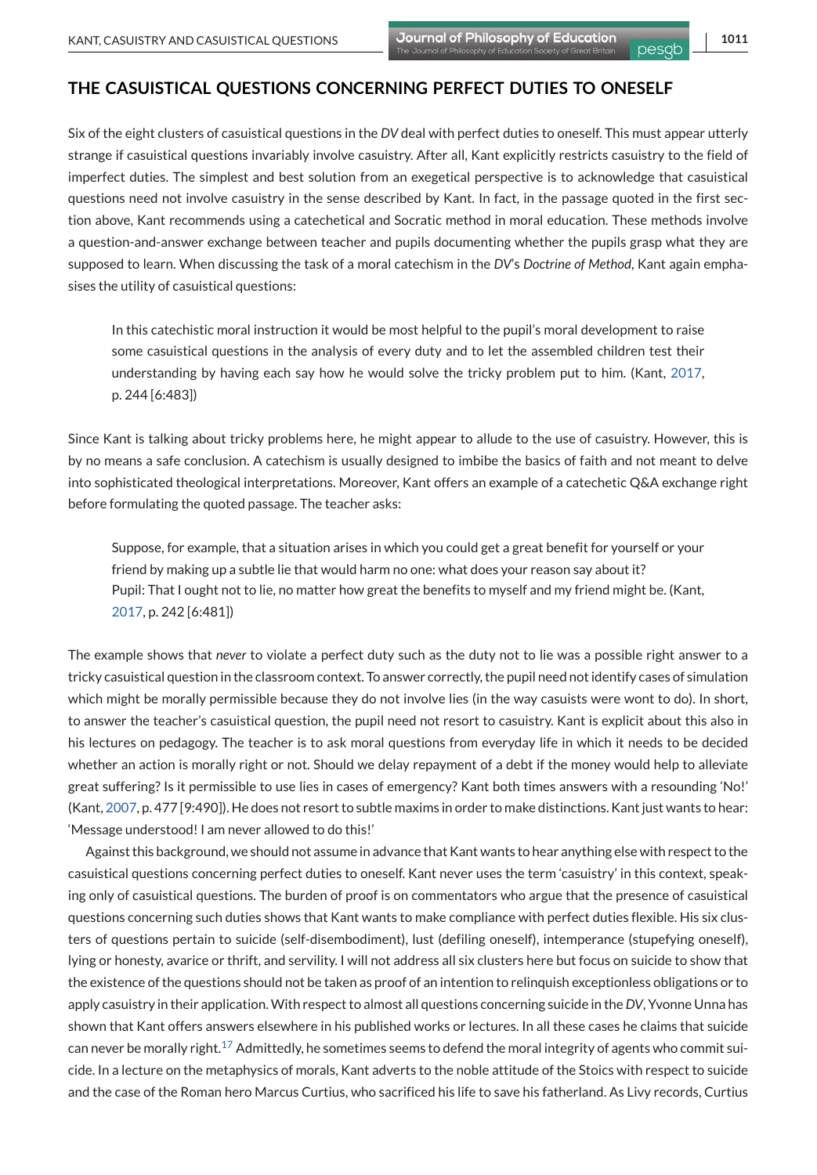## **THE CASUISTICAL QUESTIONS CONCERNING PERFECT DUTIES TO ONESELF**

Six of the eight clusters of casuistical questions in the *DV* deal with perfect duties to oneself. This must appear utterly strange if casuistical questions invariably involve casuistry. After all, Kant explicitly restricts casuistry to the field of imperfect duties. The simplest and best solution from an exegetical perspective is to acknowledge that casuistical questions need not involve casuistry in the sense described by Kant. In fact, in the passage quoted in the first section above, Kant recommends using a catechetical and Socratic method in moral education. These methods involve a question-and-answer exchange between teacher and pupils documenting whether the pupils grasp what they are supposed to learn. When discussing the task of a moral catechism in the *DV*'s *Doctrine of Method*, Kant again emphasises the utility of casuistical questions:

In this catechistic moral instruction it would be most helpful to the pupil's moral development to raise some casuistical questions in the analysis of every duty and to let the assembled children test their understanding by having each say how he would solve the tricky problem put to him. (Kant, [2017,](#page-13-0) p. 244 [6:483])

Since Kant is talking about tricky problems here, he might appear to allude to the use of casuistry. However, this is by no means a safe conclusion. A catechism is usually designed to imbibe the basics of faith and not meant to delve into sophisticated theological interpretations. Moreover, Kant offers an example of a catechetic Q&A exchange right before formulating the quoted passage. The teacher asks:

Suppose, for example, that a situation arises in which you could get a great benefit for yourself or your friend by making up a subtle lie that would harm no one: what does your reason say about it? Pupil: That I ought not to lie, no matter how great the benefits to myself and my friend might be. (Kant, [2017,](#page-13-0) p. 242 [6:481])

The example shows that *never* to violate a perfect duty such as the duty not to lie was a possible right answer to a tricky casuistical question in the classroom context. To answer correctly, the pupil need not identify cases of simulation which might be morally permissible because they do not involve lies (in the way casuists were wont to do). In short, to answer the teacher's casuistical question, the pupil need not resort to casuistry. Kant is explicit about this also in his lectures on pedagogy. The teacher is to ask moral questions from everyday life in which it needs to be decided whether an action is morally right or not. Should we delay repayment of a debt if the money would help to alleviate great suffering? Is it permissible to use lies in cases of emergency? Kant both times answers with a resounding 'No!' (Kant, [2007,](#page-13-0) p. 477 [9:490]). He does not resort to subtle maxims in order to make distinctions. Kant just wants to hear: 'Message understood! I am never allowed to do this!'

Against this background, we should not assume in advance that Kant wants to hear anything else with respect to the casuistical questions concerning perfect duties to oneself. Kant never uses the term 'casuistry' in this context, speaking only of casuistical questions. The burden of proof is on commentators who argue that the presence of casuistical questions concerning such duties shows that Kant wants to make compliance with perfect duties flexible. His six clusters of questions pertain to suicide (self-disembodiment), lust (defiling oneself), intemperance (stupefying oneself), lying or honesty, avarice or thrift, and servility. I will not address all six clusters here but focus on suicide to show that the existence of the questions should not be taken as proof of an intention to relinquish exceptionless obligations or to apply casuistry in their application.With respect to almost all questions concerning suicide in the*DV*, Yvonne Unna has shown that Kant offers answers elsewhere in his published works or lectures. In all these cases he claims that suicide can never be morally right[.](#page-12-0)<sup>17</sup> Admittedly, he sometimes seems to defend the moral integrity of agents who commit suicide. In a lecture on the metaphysics of morals, Kant adverts to the noble attitude of the Stoics with respect to suicide and the case of the Roman hero Marcus Curtius, who sacrificed his life to save his fatherland. As Livy records, Curtius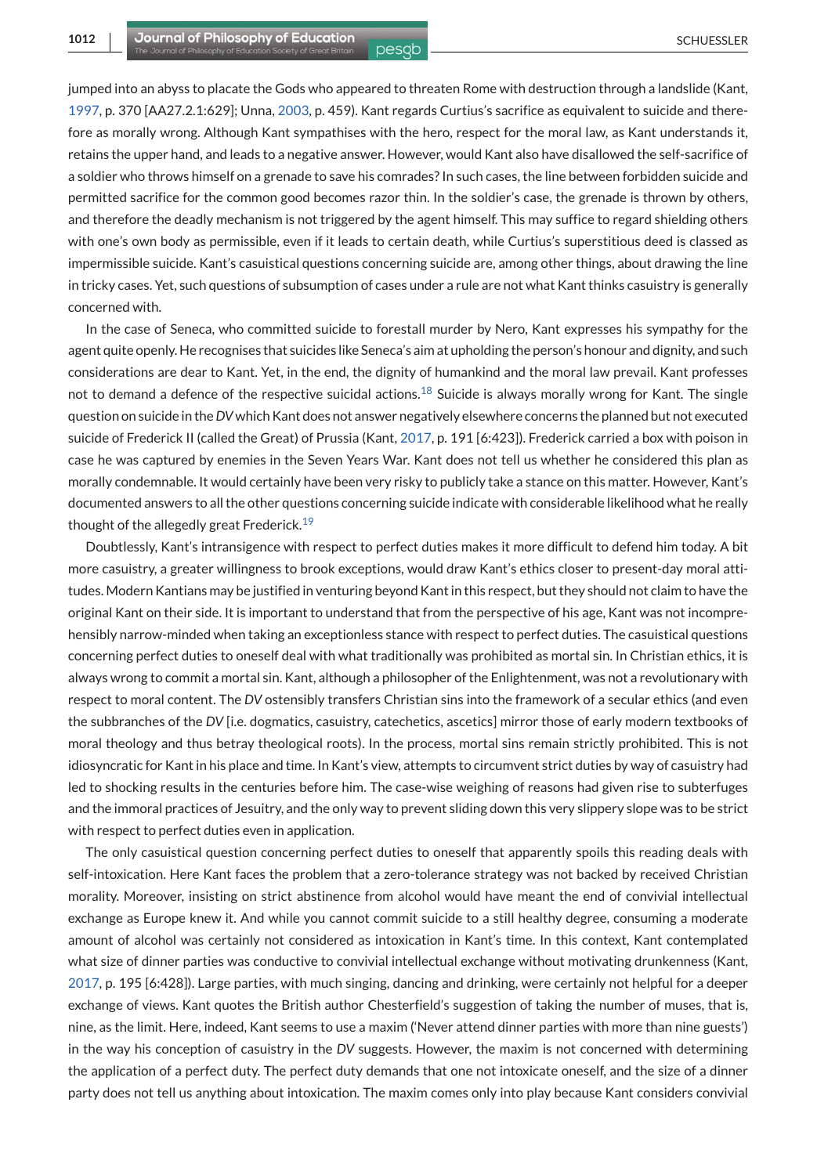jumped into an abyss to placate the Gods who appeared to threaten Rome with destruction through a landslide (Kant, [1997,](#page-13-0) p. 370 [AA27.2.1:629]; Unna, [2003,](#page-13-0) p. 459). Kant regards Curtius's sacrifice as equivalent to suicide and therefore as morally wrong. Although Kant sympathises with the hero, respect for the moral law, as Kant understands it, retains the upper hand, and leads to a negative answer. However, would Kant also have disallowed the self-sacrifice of a soldier who throws himself on a grenade to save his comrades? In such cases, the line between forbidden suicide and permitted sacrifice for the common good becomes razor thin. In the soldier's case, the grenade is thrown by others, and therefore the deadly mechanism is not triggered by the agent himself. This may suffice to regard shielding others with one's own body as permissible, even if it leads to certain death, while Curtius's superstitious deed is classed as impermissible suicide. Kant's casuistical questions concerning suicide are, among other things, about drawing the line in tricky cases. Yet, such questions of subsumption of cases under a rule are not what Kant thinks casuistry is generally concerned with.

In the case of Seneca, who committed suicide to forestall murder by Nero, Kant expresses his sympathy for the agent quite openly. He recognises that suicides like Seneca's aim at upholding the person's honour and dignity, and such considerations are dear to Kant. Yet, in the end, the dignity of humankind and the moral law prevail. Kant professes not to demand a defence of the respective suicidal actions[.](#page-12-0)<sup>18</sup> Suicide is always morally wrong for Kant. The single question on suicide in the*DV*which Kant does not answer negatively elsewhere concerns the planned but not executed suicide of Frederick II (called the Great) of Prussia (Kant, [2017,](#page-13-0) p. 191 [6:423]). Frederick carried a box with poison in case he was captured by enemies in the Seven Years War. Kant does not tell us whether he considered this plan as morally condemnable. It would certainly have been very risky to publicly take a stance on this matter. However, Kant's documented answers to all the other questions concerning suicide indicate with considerable likelihood what he really thought of the allegedly great Frederick[.](#page-12-0)<sup>19</sup>

Doubtlessly, Kant's intransigence with respect to perfect duties makes it more difficult to defend him today. A bit more casuistry, a greater willingness to brook exceptions, would draw Kant's ethics closer to present-day moral attitudes. Modern Kantians may be justified in venturing beyond Kant in this respect, but they should not claim to have the original Kant on their side. It is important to understand that from the perspective of his age, Kant was not incomprehensibly narrow-minded when taking an exceptionless stance with respect to perfect duties. The casuistical questions concerning perfect duties to oneself deal with what traditionally was prohibited as mortal sin. In Christian ethics, it is always wrong to commit a mortal sin. Kant, although a philosopher of the Enlightenment, was not a revolutionary with respect to moral content. The *DV* ostensibly transfers Christian sins into the framework of a secular ethics (and even the subbranches of the *DV* [i.e. dogmatics, casuistry, catechetics, ascetics] mirror those of early modern textbooks of moral theology and thus betray theological roots). In the process, mortal sins remain strictly prohibited. This is not idiosyncratic for Kant in his place and time. In Kant's view, attempts to circumvent strict duties by way of casuistry had led to shocking results in the centuries before him. The case-wise weighing of reasons had given rise to subterfuges and the immoral practices of Jesuitry, and the only way to prevent sliding down this very slippery slope was to be strict with respect to perfect duties even in application.

The only casuistical question concerning perfect duties to oneself that apparently spoils this reading deals with self-intoxication. Here Kant faces the problem that a zero-tolerance strategy was not backed by received Christian morality. Moreover, insisting on strict abstinence from alcohol would have meant the end of convivial intellectual exchange as Europe knew it. And while you cannot commit suicide to a still healthy degree, consuming a moderate amount of alcohol was certainly not considered as intoxication in Kant's time. In this context, Kant contemplated what size of dinner parties was conductive to convivial intellectual exchange without motivating drunkenness (Kant, [2017,](#page-13-0) p. 195 [6:428]). Large parties, with much singing, dancing and drinking, were certainly not helpful for a deeper exchange of views. Kant quotes the British author Chesterfield's suggestion of taking the number of muses, that is, nine, as the limit. Here, indeed, Kant seems to use a maxim ('Never attend dinner parties with more than nine guests') in the way his conception of casuistry in the *DV* suggests. However, the maxim is not concerned with determining the application of a perfect duty. The perfect duty demands that one not intoxicate oneself, and the size of a dinner party does not tell us anything about intoxication. The maxim comes only into play because Kant considers convivial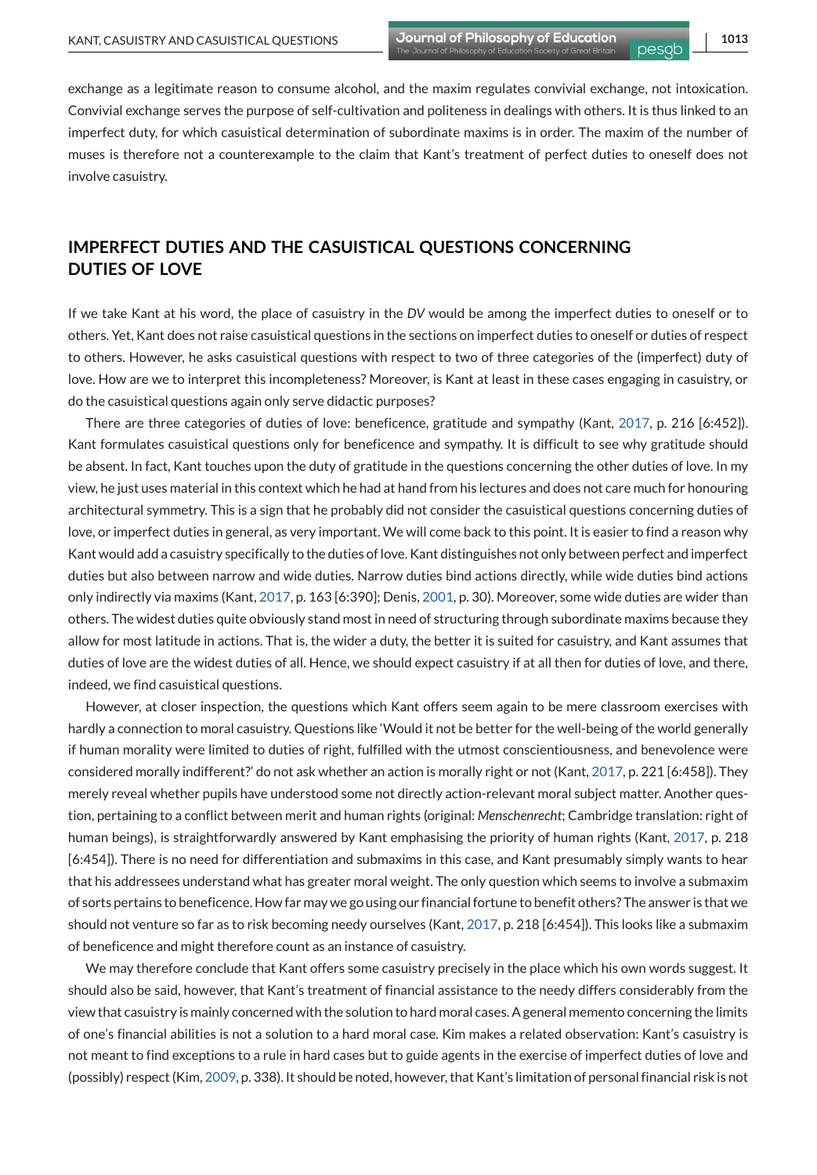exchange as a legitimate reason to consume alcohol, and the maxim regulates convivial exchange, not intoxication. Convivial exchange serves the purpose of self-cultivation and politeness in dealings with others. It is thus linked to an imperfect duty, for which casuistical determination of subordinate maxims is in order. The maxim of the number of muses is therefore not a counterexample to the claim that Kant's treatment of perfect duties to oneself does not involve casuistry.

## **IMPERFECT DUTIES AND THE CASUISTICAL QUESTIONS CONCERNING DUTIES OF LOVE**

If we take Kant at his word, the place of casuistry in the *DV* would be among the imperfect duties to oneself or to others. Yet, Kant does not raise casuistical questions in the sections on imperfect duties to oneself or duties of respect to others. However, he asks casuistical questions with respect to two of three categories of the (imperfect) duty of love. How are we to interpret this incompleteness? Moreover, is Kant at least in these cases engaging in casuistry, or do the casuistical questions again only serve didactic purposes?

There are three categories of duties of love: beneficence, gratitude and sympathy (Kant, [2017,](#page-13-0) p. 216 [6:452]). Kant formulates casuistical questions only for beneficence and sympathy. It is difficult to see why gratitude should be absent. In fact, Kant touches upon the duty of gratitude in the questions concerning the other duties of love. In my view, he just uses material in this context which he had at hand from his lectures and does not care much for honouring architectural symmetry. This is a sign that he probably did not consider the casuistical questions concerning duties of love, or imperfect duties in general, as very important. We will come back to this point. It is easier to find a reason why Kant would add a casuistry specifically to the duties of love. Kant distinguishes not only between perfect and imperfect duties but also between narrow and wide duties. Narrow duties bind actions directly, while wide duties bind actions only indirectly via maxims (Kant, [2017,](#page-13-0) p. 163 [6:390]; Denis, [2001,](#page-12-0) p. 30). Moreover, some wide duties are wider than others. The widest duties quite obviously stand most in need of structuring through subordinate maxims because they allow for most latitude in actions. That is, the wider a duty, the better it is suited for casuistry, and Kant assumes that duties of love are the widest duties of all. Hence, we should expect casuistry if at all then for duties of love, and there, indeed, we find casuistical questions.

However, at closer inspection, the questions which Kant offers seem again to be mere classroom exercises with hardly a connection to moral casuistry. Questions like 'Would it not be better for the well-being of the world generally if human morality were limited to duties of right, fulfilled with the utmost conscientiousness, and benevolence were considered morally indifferent?' do not ask whether an action is morally right or not (Kant, [2017,](#page-13-0) p. 221 [6:458]). They merely reveal whether pupils have understood some not directly action-relevant moral subject matter. Another question, pertaining to a conflict between merit and human rights (original: *Menschenrecht*; Cambridge translation: right of human beings), is straightforwardly answered by Kant emphasising the priority of human rights (Kant, [2017,](#page-13-0) p. 218 [6:454]). There is no need for differentiation and submaxims in this case, and Kant presumably simply wants to hear that his addressees understand what has greater moral weight. The only question which seems to involve a submaxim of sorts pertains to beneficence. How far may we go using our financial fortune to benefit others? The answer is that we should not venture so far as to risk becoming needy ourselves (Kant, [2017,](#page-13-0) p. 218 [6:454]). This looks like a submaxim of beneficence and might therefore count as an instance of casuistry.

We may therefore conclude that Kant offers some casuistry precisely in the place which his own words suggest. It should also be said, however, that Kant's treatment of financial assistance to the needy differs considerably from the view that casuistry is mainly concerned with the solution to hard moral cases. A general memento concerning the limits of one's financial abilities is not a solution to a hard moral case. Kim makes a related observation: Kant's casuistry is not meant to find exceptions to a rule in hard cases but to guide agents in the exercise of imperfect duties of love and (possibly) respect (Kim, [2009,](#page-13-0) p. 338). It should be noted, however, that Kant's limitation of personal financial risk is not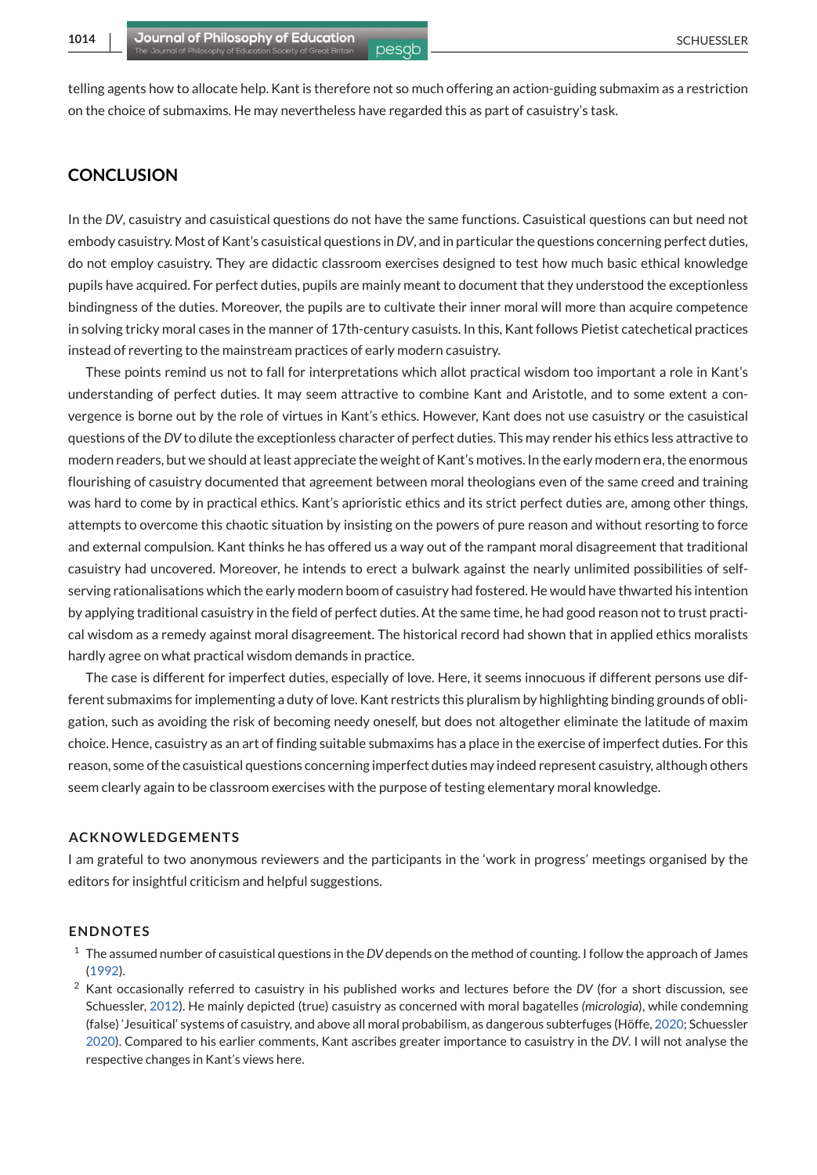<span id="page-11-0"></span>

telling agents how to allocate help. Kant is therefore not so much offering an action-guiding submaxim as a restriction on the choice of submaxims. He may nevertheless have regarded this as part of casuistry's task.

## **CONCLUSION**

In the *DV*, casuistry and casuistical questions do not have the same functions. Casuistical questions can but need not embody casuistry. Most of Kant's casuistical questions in*DV*, and in particular the questions concerning perfect duties, do not employ casuistry. They are didactic classroom exercises designed to test how much basic ethical knowledge pupils have acquired. For perfect duties, pupils are mainly meant to document that they understood the exceptionless bindingness of the duties. Moreover, the pupils are to cultivate their inner moral will more than acquire competence in solving tricky moral cases in the manner of 17th-century casuists. In this, Kant follows Pietist catechetical practices instead of reverting to the mainstream practices of early modern casuistry.

These points remind us not to fall for interpretations which allot practical wisdom too important a role in Kant's understanding of perfect duties. It may seem attractive to combine Kant and Aristotle, and to some extent a convergence is borne out by the role of virtues in Kant's ethics. However, Kant does not use casuistry or the casuistical questions of the *DV* to dilute the exceptionless character of perfect duties. This may render his ethics less attractive to modern readers, but we should at least appreciate the weight of Kant's motives. In the early modern era, the enormous flourishing of casuistry documented that agreement between moral theologians even of the same creed and training was hard to come by in practical ethics. Kant's aprioristic ethics and its strict perfect duties are, among other things, attempts to overcome this chaotic situation by insisting on the powers of pure reason and without resorting to force and external compulsion. Kant thinks he has offered us a way out of the rampant moral disagreement that traditional casuistry had uncovered. Moreover, he intends to erect a bulwark against the nearly unlimited possibilities of selfserving rationalisations which the early modern boom of casuistry had fostered. He would have thwarted his intention by applying traditional casuistry in the field of perfect duties. At the same time, he had good reason not to trust practical wisdom as a remedy against moral disagreement. The historical record had shown that in applied ethics moralists hardly agree on what practical wisdom demands in practice.

The case is different for imperfect duties, especially of love. Here, it seems innocuous if different persons use different submaxims for implementing a duty of love. Kant restricts this pluralism by highlighting binding grounds of obligation, such as avoiding the risk of becoming needy oneself, but does not altogether eliminate the latitude of maxim choice. Hence, casuistry as an art of finding suitable submaxims has a place in the exercise of imperfect duties. For this reason, some of the casuistical questions concerning imperfect duties may indeed represent casuistry, although others seem clearly again to be classroom exercises with the purpose of testing elementary moral knowledge.

#### **ACKNOWLEDGEMENTS**

I am grateful to two anonymous reviewers and the participants in the 'work in progress' meetings organised by the editors for insightful criticism and helpful suggestions.

#### **ENDNOTES**

- <sup>1</sup> The assumed number of casuistical questions in the *DV* depends on the method of counting. I follow the approach of James [\(1992\)](#page-13-0).
- <sup>2</sup> Kant occasionally referred to casuistry in his published works and lectures before the *DV* (for a short discussion, see Schuessler, [2012\)](#page-13-0). He mainly depicted (true) casuistry as concerned with moral bagatelles *(micrologia*), while condemning (false) 'Jesuitical' systems of casuistry, and above all moral probabilism, as dangerous subterfuges (Höffe, [2020;](#page-13-0) Schuessler [2020\)](#page-13-0). Compared to his earlier comments, Kant ascribes greater importance to casuistry in the *DV*. I will not analyse the respective changes in Kant's views here.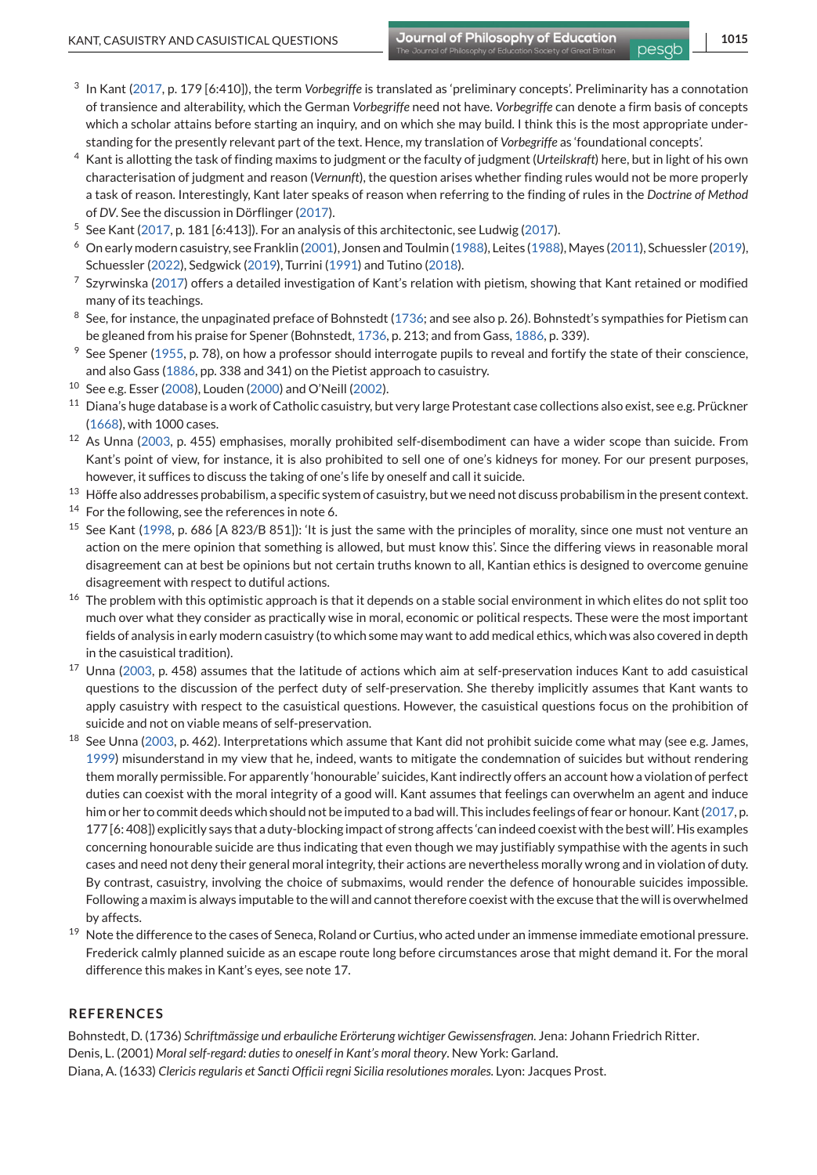- <span id="page-12-0"></span><sup>3</sup> In Kant [\(2017,](#page-13-0) p. 179 [6:410]), the term *Vorbegriffe* is translated as 'preliminary concepts'. Preliminarity has a connotation of transience and alterability, which the German *Vorbegriffe* need not have. *Vorbegriffe* can denote a firm basis of concepts which a scholar attains before starting an inquiry, and on which she may build. I think this is the most appropriate understanding for the presently relevant part of the text. Hence, my translation of *Vorbegriffe* as 'foundational concepts'.
- <sup>4</sup> Kant is allotting the task of finding maxims to judgment or the faculty of judgment (*Urteilskraft*) here, but in light of his own characterisation of judgment and reason (*Vernunft*), the question arises whether finding rules would not be more properly a task of reason. Interestingly, Kant later speaks of reason when referring to the finding of rules in the *Doctrine of Method* of *DV*. See the discussion in Dörflinger [\(2017\)](#page-13-0).
- <sup>5</sup> See Kant [\(2017,](#page-13-0) p. 181 [6:413]). For an analysis of this architectonic, see Ludwig [\(2017\)](#page-13-0).
- <sup>6</sup> On early modern casuistry, see Franklin [\(2001\)](#page-13-0), Jonsen and Toulmin [\(1988\)](#page-13-0), Leites [\(1988\)](#page-13-0), Mayes [\(2011\)](#page-13-0), Schuessler [\(2019\)](#page-13-0), Schuessler [\(2022\)](#page-13-0), Sedgwick [\(2019\)](#page-13-0), Turrini [\(1991\)](#page-13-0) and Tutino [\(2018\)](#page-13-0).
- $7$  Szyrwinska [\(2017\)](#page-13-0) offers a detailed investigation of Kant's relation with pietism, showing that Kant retained or modified many of its teachings.
- $8$  See, for instance, the unpaginated preface of Bohnstedt (1736; and see also p. 26). Bohnstedt's sympathies for Pietism can be gleaned from his praise for Spener (Bohnstedt, 1736, p. 213; and from Gass, [1886,](#page-13-0) p. 339).
- $9$  See Spener [\(1955,](#page-13-0) p. 78), on how a professor should interrogate pupils to reveal and fortify the state of their conscience, and also Gass [\(1886,](#page-13-0) pp. 338 and 341) on the Pietist approach to casuistry.
- <sup>10</sup> See e.g. Esser [\(2008\)](#page-13-0), Louden [\(2000\)](#page-13-0) and O'Neill [\(2002\)](#page-13-0).
- <sup>11</sup> Diana's huge database is a work of Catholic casuistry, but very large Protestant case collections also exist, see e.g. Prückner [\(1668\)](#page-13-0), with 1000 cases.
- <sup>12</sup> As Unna [\(2003,](#page-13-0) p. 455) emphasises, morally prohibited self-disembodiment can have a wider scope than suicide. From Kant's point of view, for instance, it is also prohibited to sell one of one's kidneys for money. For our present purposes, however, it suffices to discuss the taking of one's life by oneself and call it suicide.
- <sup>13</sup> Höffe also addresses probabilism, a specific system of casuistry, but we need not discuss probabilism in the present context.
- <sup>14</sup> For the following, see the references in note 6.
- <sup>15</sup> See Kant [\(1998,](#page-13-0) p. 686 [A 823/B 851]): 'It is just the same with the principles of morality, since one must not venture an action on the mere opinion that something is allowed, but must know this'. Since the differing views in reasonable moral disagreement can at best be opinions but not certain truths known to all, Kantian ethics is designed to overcome genuine disagreement with respect to dutiful actions.
- <sup>16</sup> The problem with this optimistic approach is that it depends on a stable social environment in which elites do not split too much over what they consider as practically wise in moral, economic or political respects. These were the most important fields of analysis in early modern casuistry (to which some may want to add medical ethics, which was also covered in depth in the casuistical tradition).
- <sup>17</sup> Unna [\(2003,](#page-13-0) p. 458) assumes that the latitude of actions which aim at self-preservation induces Kant to add casuistical questions to the discussion of the perfect duty of self-preservation. She thereby implicitly assumes that Kant wants to apply casuistry with respect to the casuistical questions. However, the casuistical questions focus on the prohibition of suicide and not on viable means of self-preservation.
- $18$  See Unna [\(2003,](#page-13-0) p. 462). Interpretations which assume that Kant did not prohibit suicide come what may (see e.g. James, [1999\)](#page-13-0) misunderstand in my view that he, indeed, wants to mitigate the condemnation of suicides but without rendering them morally permissible. For apparently 'honourable' suicides, Kant indirectly offers an account how a violation of perfect duties can coexist with the moral integrity of a good will. Kant assumes that feelings can overwhelm an agent and induce him or her to commit deeds which should not be imputed to a bad will. This includes feelings of fear or honour. Kant [\(2017,](#page-13-0) p. 177 [6: 408]) explicitly says that a duty-blocking impact of strong affects 'can indeed coexist with the best will'. His examples concerning honourable suicide are thus indicating that even though we may justifiably sympathise with the agents in such cases and need not deny their general moral integrity, their actions are nevertheless morally wrong and in violation of duty. By contrast, casuistry, involving the choice of submaxims, would render the defence of honourable suicides impossible. Following a maxim is always imputable to the will and cannot therefore coexist with the excuse that the will is overwhelmed by affects.
- <sup>19</sup> Note the difference to the cases of Seneca, Roland or Curtius, who acted under an immense immediate emotional pressure. Frederick calmly planned suicide as an escape route long before circumstances arose that might demand it. For the moral difference this makes in Kant's eyes, see note 17.

#### **REFERENCES**

Bohnstedt, D. (1736) *Schriftmässige und erbauliche Erörterung wichtiger Gewissensfragen*. Jena: Johann Friedrich Ritter. Denis, L. (2001) *Moral self-regard: duties to oneself in Kant's moral theory*. New York: Garland. Diana, A. (1633) *Clericis regularis et Sancti Officii regni Sicilia resolutiones morales*. Lyon: Jacques Prost.